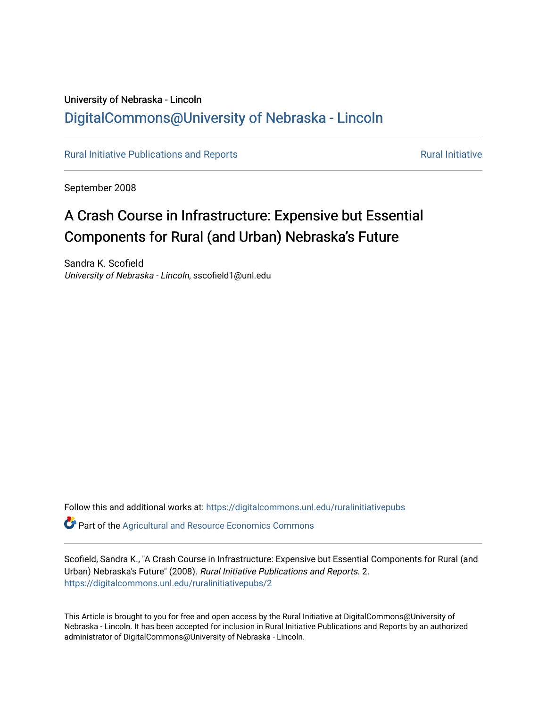## University of Nebraska - Lincoln [DigitalCommons@University of Nebraska - Lincoln](https://digitalcommons.unl.edu/)

[Rural Initiative Publications and Reports](https://digitalcommons.unl.edu/ruralinitiativepubs) **[Rural Initiative](https://digitalcommons.unl.edu/rural_initiative) Rural Initiative** Rural Initiative

September 2008

# A Crash Course in Infrastructure: Expensive but Essential Components for Rural (and Urban) Nebraska's Future

Sandra K. Scofield University of Nebraska - Lincoln, sscofield1@unl.edu

Follow this and additional works at: [https://digitalcommons.unl.edu/ruralinitiativepubs](https://digitalcommons.unl.edu/ruralinitiativepubs?utm_source=digitalcommons.unl.edu%2Fruralinitiativepubs%2F2&utm_medium=PDF&utm_campaign=PDFCoverPages) 

**P** Part of the Agricultural and Resource Economics Commons

Scofield, Sandra K., "A Crash Course in Infrastructure: Expensive but Essential Components for Rural (and Urban) Nebraska's Future" (2008). Rural Initiative Publications and Reports. 2. [https://digitalcommons.unl.edu/ruralinitiativepubs/2](https://digitalcommons.unl.edu/ruralinitiativepubs/2?utm_source=digitalcommons.unl.edu%2Fruralinitiativepubs%2F2&utm_medium=PDF&utm_campaign=PDFCoverPages) 

This Article is brought to you for free and open access by the Rural Initiative at DigitalCommons@University of Nebraska - Lincoln. It has been accepted for inclusion in Rural Initiative Publications and Reports by an authorized administrator of DigitalCommons@University of Nebraska - Lincoln.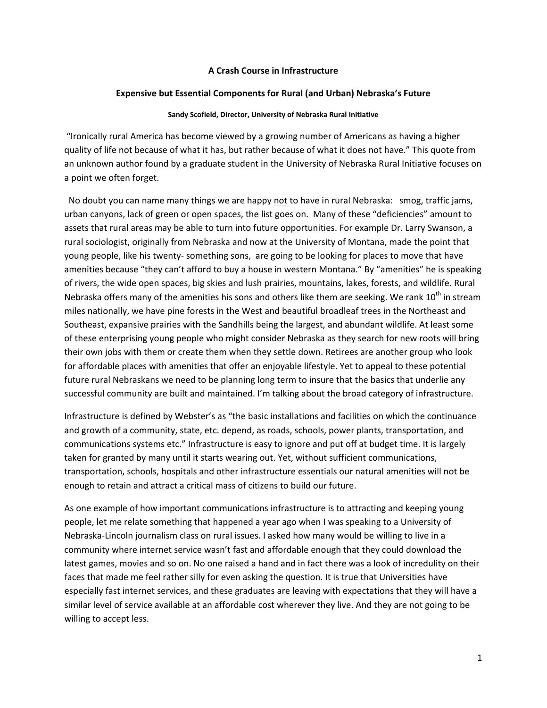### **A Crash Course in Infrastructure**

#### **Expensive but Essential Components for Rural (and Urban) Nebraska's Future**

#### **Sandy Scofield, Director, University of Nebraska Rural Initiative**

"Ironically rural America has become viewed by a growing number of Americans as having a higher quality of life not because of what it has, but rather because of what it does not have." This quote from an unknown author found by a graduate student in the University of Nebraska Rural Initiative focuses on a point we often forget.

No doubt you can name many things we are happy not to have in rural Nebraska: smog, traffic jams, urban canyons, lack of green or open spaces, the list goes on. Many of these "deficiencies" amount to assets that rural areas may be able to turn into future opportunities. For example Dr. Larry Swanson, a rural sociologist, originally from Nebraska and now at the University of Montana, made the point that young people, like his twenty‐ something sons, are going to be looking for places to move that have amenities because "they can't afford to buy a house in western Montana." By "amenities" he is speaking of rivers, the wide open spaces, big skies and lush prairies, mountains, lakes, forests, and wildlife. Rural Nebraska offers many of the amenities his sons and others like them are seeking. We rank 10<sup>th</sup> in stream miles nationally, we have pine forests in the West and beautiful broadleaf trees in the Northeast and Southeast, expansive prairies with the Sandhills being the largest, and abundant wildlife. At least some of these enterprising young people who might consider Nebraska as they search for new roots will bring their own jobs with them or create them when they settle down. Retirees are another group who look for affordable places with amenities that offer an enjoyable lifestyle. Yet to appeal to these potential future rural Nebraskans we need to be planning long term to insure that the basics that underlie any successful community are built and maintained. I'm talking about the broad category of infrastructure.

Infrastructure is defined by Webster's as "the basic installations and facilities on which the continuance and growth of a community, state, etc. depend, as roads, schools, power plants, transportation, and communications systems etc." Infrastructure is easy to ignore and put off at budget time. It is largely taken for granted by many until it starts wearing out. Yet, without sufficient communications, transportation, schools, hospitals and other infrastructure essentials our natural amenities will not be enough to retain and attract a critical mass of citizens to build our future.

As one example of how important communications infrastructure is to attracting and keeping young people, let me relate something that happened a year ago when I was speaking to a University of Nebraska‐Lincoln journalism class on rural issues. I asked how many would be willing to live in a community where internet service wasn't fast and affordable enough that they could download the latest games, movies and so on. No one raised a hand and in fact there was a look of incredulity on their faces that made me feel rather silly for even asking the question. It is true that Universities have especially fast internet services, and these graduates are leaving with expectations that they will have a similar level of service available at an affordable cost wherever they live. And they are not going to be willing to accept less.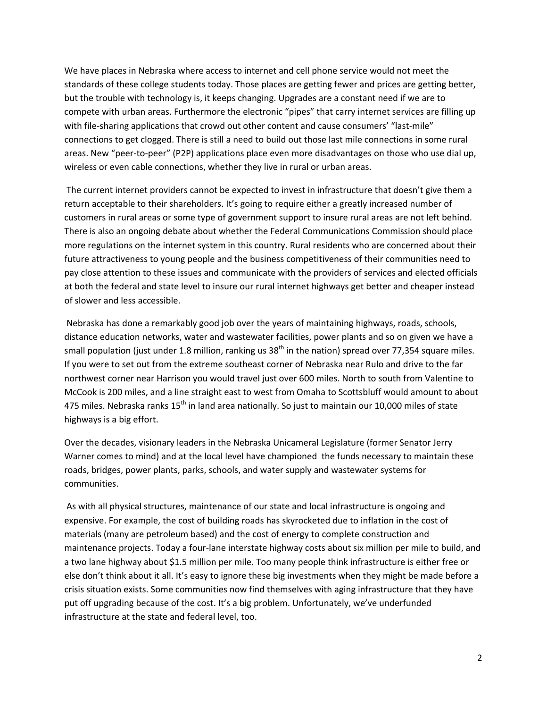We have places in Nebraska where access to internet and cell phone service would not meet the standards of these college students today. Those places are getting fewer and prices are getting better, but the trouble with technology is, it keeps changing. Upgrades are a constant need if we are to compete with urban areas. Furthermore the electronic "pipes" that carry internet services are filling up with file-sharing applications that crowd out other content and cause consumers' "last-mile" connections to get clogged. There is still a need to build out those last mile connections in some rural areas. New "peer-to-peer" (P2P) applications place even more disadvantages on those who use dial up, wireless or even cable connections, whether they live in rural or urban areas.

The current internet providers cannot be expected to invest in infrastructure that doesn't give them a return acceptable to their shareholders. It's going to require either a greatly increased number of customers in rural areas or some type of government support to insure rural areas are not left behind. There is also an ongoing debate about whether the Federal Communications Commission should place more regulations on the internet system in this country. Rural residents who are concerned about their future attractiveness to young people and the business competitiveness of their communities need to pay close attention to these issues and communicate with the providers of services and elected officials at both the federal and state level to insure our rural internet highways get better and cheaper instead of slower and less accessible.

Nebraska has done a remarkably good job over the years of maintaining highways, roads, schools, distance education networks, water and wastewater facilities, power plants and so on given we have a small population (just under 1.8 million, ranking us 38<sup>th</sup> in the nation) spread over 77,354 square miles. If you were to set out from the extreme southeast corner of Nebraska near Rulo and drive to the far northwest corner near Harrison you would travel just over 600 miles. North to south from Valentine to McCook is 200 miles, and a line straight east to west from Omaha to Scottsbluff would amount to about 475 miles. Nebraska ranks  $15^{th}$  in land area nationally. So just to maintain our 10,000 miles of state highways is a big effort.

Over the decades, visionary leaders in the Nebraska Unicameral Legislature (former Senator Jerry Warner comes to mind) and at the local level have championed the funds necessary to maintain these roads, bridges, power plants, parks, schools, and water supply and wastewater systems for communities.

As with all physical structures, maintenance of our state and local infrastructure is ongoing and expensive. For example, the cost of building roads has skyrocketed due to inflation in the cost of materials (many are petroleum based) and the cost of energy to complete construction and maintenance projects. Today a four‐lane interstate highway costs about six million per mile to build, and a two lane highway about \$1.5 million per mile. Too many people think infrastructure is either free or else don't think about it all. It's easy to ignore these big investments when they might be made before a crisis situation exists. Some communities now find themselves with aging infrastructure that they have put off upgrading because of the cost. It's a big problem. Unfortunately, we've underfunded infrastructure at the state and federal level, too.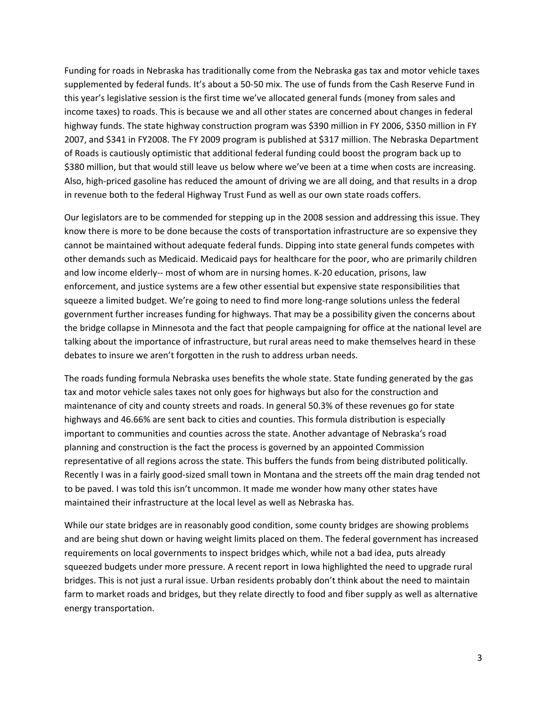Funding for roads in Nebraska has traditionally come from the Nebraska gas tax and motor vehicle taxes supplemented by federal funds. It's about a 50-50 mix. The use of funds from the Cash Reserve Fund in this year's legislative session is the first time we've allocated general funds (money from sales and income taxes) to roads. This is because we and all other states are concerned about changes in federal highway funds. The state highway construction program was \$390 million in FY 2006, \$350 million in FY 2007, and \$341 in FY2008. The FY 2009 program is published at \$317 million. The Nebraska Department of Roads is cautiously optimistic that additional federal funding could boost the program back up to \$380 million, but that would still leave us below where we've been at a time when costs are increasing. Also, high‐priced gasoline has reduced the amount of driving we are all doing, and that results in a drop in revenue both to the federal Highway Trust Fund as well as our own state roads coffers.

Our legislators are to be commended for stepping up in the 2008 session and addressing this issue. They know there is more to be done because the costs of transportation infrastructure are so expensive they cannot be maintained without adequate federal funds. Dipping into state general funds competes with other demands such as Medicaid. Medicaid pays for healthcare for the poor, who are primarily children and low income elderly-- most of whom are in nursing homes. K-20 education, prisons, law enforcement, and justice systems are a few other essential but expensive state responsibilities that squeeze a limited budget. We're going to need to find more long-range solutions unless the federal government further increases funding for highways. That may be a possibility given the concerns about the bridge collapse in Minnesota and the fact that people campaigning for office at the national level are talking about the importance of infrastructure, but rural areas need to make themselves heard in these debates to insure we aren't forgotten in the rush to address urban needs.

The roads funding formula Nebraska uses benefits the whole state. State funding generated by the gas tax and motor vehicle sales taxes not only goes for highways but also for the construction and maintenance of city and county streets and roads. In general 50.3% of these revenues go for state highways and 46.66% are sent back to cities and counties. This formula distribution is especially important to communities and counties across the state. Another advantage of Nebraska's road planning and construction is the fact the process is governed by an appointed Commission representative of all regions across the state. This buffers the funds from being distributed politically. Recently I was in a fairly good‐sized small town in Montana and the streets off the main drag tended not to be paved. I was told this isn't uncommon. It made me wonder how many other states have maintained their infrastructure at the local level as well as Nebraska has.

While our state bridges are in reasonably good condition, some county bridges are showing problems and are being shut down or having weight limits placed on them. The federal government has increased requirements on local governments to inspect bridges which, while not a bad idea, puts already squeezed budgets under more pressure. A recent report in Iowa highlighted the need to upgrade rural bridges. This is not just a rural issue. Urban residents probably don't think about the need to maintain farm to market roads and bridges, but they relate directly to food and fiber supply as well as alternative energy transportation.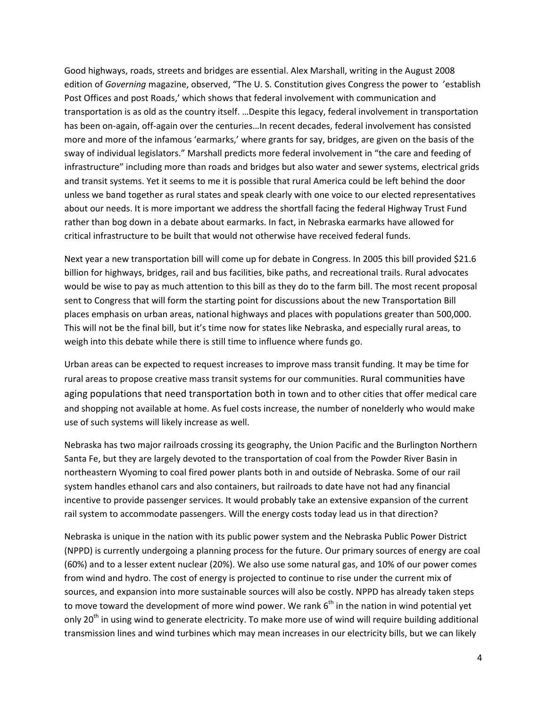Good highways, roads, streets and bridges are essential. Alex Marshall, writing in the August 2008 edition of *Governing* magazine, observed, "The U. S. Constitution gives Congress the power to 'establish Post Offices and post Roads,' which shows that federal involvement with communication and transportation is as old as the country itself. …Despite this legacy, federal involvement in transportation has been on-again, off-again over the centuries...In recent decades, federal involvement has consisted more and more of the infamous 'earmarks,' where grants for say, bridges, are given on the basis of the sway of individual legislators." Marshall predicts more federal involvement in "the care and feeding of infrastructure" including more than roads and bridges but also water and sewer systems, electrical grids and transit systems. Yet it seems to me it is possible that rural America could be left behind the door unless we band together as rural states and speak clearly with one voice to our elected representatives about our needs. It is more important we address the shortfall facing the federal Highway Trust Fund rather than bog down in a debate about earmarks. In fact, in Nebraska earmarks have allowed for critical infrastructure to be built that would not otherwise have received federal funds.

Next year a new transportation bill will come up for debate in Congress. In 2005 this bill provided \$21.6 billion for highways, bridges, rail and bus facilities, bike paths, and recreational trails. Rural advocates would be wise to pay as much attention to this bill as they do to the farm bill. The most recent proposal sent to Congress that will form the starting point for discussions about the new Transportation Bill places emphasis on urban areas, national highways and places with populations greater than 500,000. This will not be the final bill, but it's time now for states like Nebraska, and especially rural areas, to weigh into this debate while there is still time to influence where funds go.

Urban areas can be expected to request increases to improve mass transit funding. It may be time for rural areas to propose creative mass transit systems for our communities. Rural communities have aging populations that need transportation both in town and to other cities that offer medical care and shopping not available at home. As fuel costs increase, the number of nonelderly who would make use of such systems will likely increase as well.

Nebraska has two major railroads crossing its geography, the Union Pacific and the Burlington Northern Santa Fe, but they are largely devoted to the transportation of coal from the Powder River Basin in northeastern Wyoming to coal fired power plants both in and outside of Nebraska. Some of our rail system handles ethanol cars and also containers, but railroads to date have not had any financial incentive to provide passenger services. It would probably take an extensive expansion of the current rail system to accommodate passengers. Will the energy costs today lead us in that direction?

Nebraska is unique in the nation with its public power system and the Nebraska Public Power District (NPPD) is currently undergoing a planning process for the future. Our primary sources of energy are coal (60%) and to a lesser extent nuclear (20%). We also use some natural gas, and 10% of our power comes from wind and hydro. The cost of energy is projected to continue to rise under the current mix of sources, and expansion into more sustainable sources will also be costly. NPPD has already taken steps to move toward the development of more wind power. We rank  $6<sup>th</sup>$  in the nation in wind potential yet only 20<sup>th</sup> in using wind to generate electricity. To make more use of wind will require building additional transmission lines and wind turbines which may mean increases in our electricity bills, but we can likely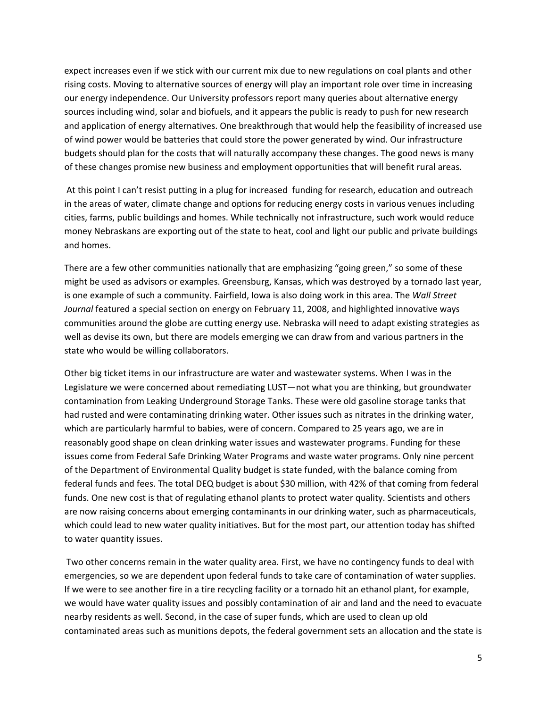expect increases even if we stick with our current mix due to new regulations on coal plants and other rising costs. Moving to alternative sources of energy will play an important role over time in increasing our energy independence. Our University professors report many queries about alternative energy sources including wind, solar and biofuels, and it appears the public is ready to push for new research and application of energy alternatives. One breakthrough that would help the feasibility of increased use of wind power would be batteries that could store the power generated by wind. Our infrastructure budgets should plan for the costs that will naturally accompany these changes. The good news is many of these changes promise new business and employment opportunities that will benefit rural areas.

At this point I can't resist putting in a plug for increased funding for research, education and outreach in the areas of water, climate change and options for reducing energy costs in various venues including cities, farms, public buildings and homes. While technically not infrastructure, such work would reduce money Nebraskans are exporting out of the state to heat, cool and light our public and private buildings and homes.

There are a few other communities nationally that are emphasizing "going green," so some of these might be used as advisors or examples. Greensburg, Kansas, which was destroyed by a tornado last year, is one example of such a community. Fairfield, Iowa is also doing work in this area. The *Wall Street Journal* featured a special section on energy on February 11, 2008, and highlighted innovative ways communities around the globe are cutting energy use. Nebraska will need to adapt existing strategies as well as devise its own, but there are models emerging we can draw from and various partners in the state who would be willing collaborators.

Other big ticket items in our infrastructure are water and wastewater systems. When I was in the Legislature we were concerned about remediating LUST—not what you are thinking, but groundwater contamination from Leaking Underground Storage Tanks. These were old gasoline storage tanks that had rusted and were contaminating drinking water. Other issues such as nitrates in the drinking water, which are particularly harmful to babies, were of concern. Compared to 25 years ago, we are in reasonably good shape on clean drinking water issues and wastewater programs. Funding for these issues come from Federal Safe Drinking Water Programs and waste water programs. Only nine percent of the Department of Environmental Quality budget is state funded, with the balance coming from federal funds and fees. The total DEQ budget is about \$30 million, with 42% of that coming from federal funds. One new cost is that of regulating ethanol plants to protect water quality. Scientists and others are now raising concerns about emerging contaminants in our drinking water, such as pharmaceuticals, which could lead to new water quality initiatives. But for the most part, our attention today has shifted to water quantity issues.

Two other concerns remain in the water quality area. First, we have no contingency funds to deal with emergencies, so we are dependent upon federal funds to take care of contamination of water supplies. If we were to see another fire in a tire recycling facility or a tornado hit an ethanol plant, for example, we would have water quality issues and possibly contamination of air and land and the need to evacuate nearby residents as well. Second, in the case of super funds, which are used to clean up old contaminated areas such as munitions depots, the federal government sets an allocation and the state is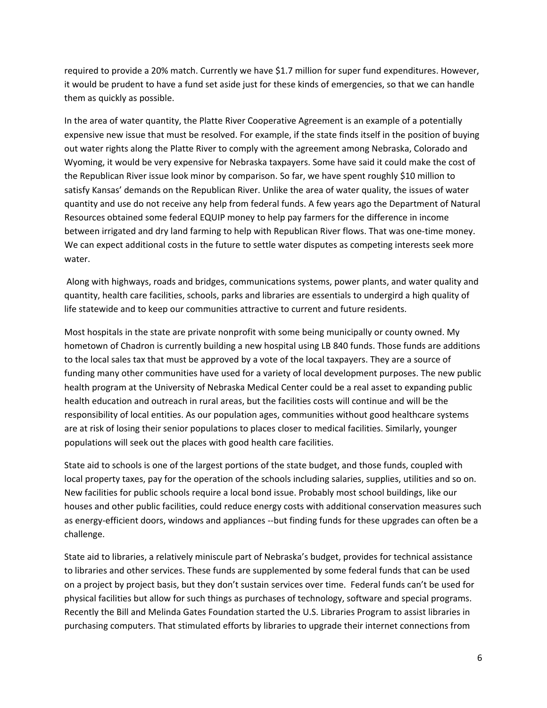required to provide a 20% match. Currently we have \$1.7 million for super fund expenditures. However, it would be prudent to have a fund set aside just for these kinds of emergencies, so that we can handle them as quickly as possible.

In the area of water quantity, the Platte River Cooperative Agreement is an example of a potentially expensive new issue that must be resolved. For example, if the state finds itself in the position of buying out water rights along the Platte River to comply with the agreement among Nebraska, Colorado and Wyoming, it would be very expensive for Nebraska taxpayers. Some have said it could make the cost of the Republican River issue look minor by comparison. So far, we have spent roughly \$10 million to satisfy Kansas' demands on the Republican River. Unlike the area of water quality, the issues of water quantity and use do not receive any help from federal funds. A few years ago the Department of Natural Resources obtained some federal EQUIP money to help pay farmers for the difference in income between irrigated and dry land farming to help with Republican River flows. That was one-time money. We can expect additional costs in the future to settle water disputes as competing interests seek more water.

Along with highways, roads and bridges, communications systems, power plants, and water quality and quantity, health care facilities, schools, parks and libraries are essentials to undergird a high quality of life statewide and to keep our communities attractive to current and future residents.

Most hospitals in the state are private nonprofit with some being municipally or county owned. My hometown of Chadron is currently building a new hospital using LB 840 funds. Those funds are additions to the local sales tax that must be approved by a vote of the local taxpayers. They are a source of funding many other communities have used for a variety of local development purposes. The new public health program at the University of Nebraska Medical Center could be a real asset to expanding public health education and outreach in rural areas, but the facilities costs will continue and will be the responsibility of local entities. As our population ages, communities without good healthcare systems are at risk of losing their senior populations to places closer to medical facilities. Similarly, younger populations will seek out the places with good health care facilities.

State aid to schools is one of the largest portions of the state budget, and those funds, coupled with local property taxes, pay for the operation of the schools including salaries, supplies, utilities and so on. New facilities for public schools require a local bond issue. Probably most school buildings, like our houses and other public facilities, could reduce energy costs with additional conservation measures such as energy-efficient doors, windows and appliances --but finding funds for these upgrades can often be a challenge.

State aid to libraries, a relatively miniscule part of Nebraska's budget, provides for technical assistance to libraries and other services. These funds are supplemented by some federal funds that can be used on a project by project basis, but they don't sustain services over time. Federal funds can't be used for physical facilities but allow for such things as purchases of technology, software and special programs. Recently the Bill and Melinda Gates Foundation started the U.S. Libraries Program to assist libraries in purchasing computers. That stimulated efforts by libraries to upgrade their internet connections from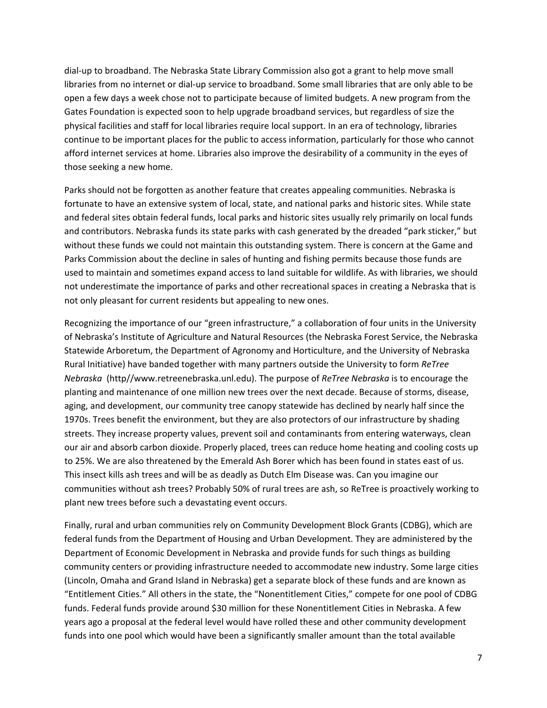dial‐up to broadband. The Nebraska State Library Commission also got a grant to help move small libraries from no internet or dial‐up service to broadband. Some small libraries that are only able to be open a few days a week chose not to participate because of limited budgets. A new program from the Gates Foundation is expected soon to help upgrade broadband services, but regardless of size the physical facilities and staff for local libraries require local support. In an era of technology, libraries continue to be important places for the public to access information, particularly for those who cannot afford internet services at home. Libraries also improve the desirability of a community in the eyes of those seeking a new home.

Parks should not be forgotten as another feature that creates appealing communities. Nebraska is fortunate to have an extensive system of local, state, and national parks and historic sites. While state and federal sites obtain federal funds, local parks and historic sites usually rely primarily on local funds and contributors. Nebraska funds its state parks with cash generated by the dreaded "park sticker," but without these funds we could not maintain this outstanding system. There is concern at the Game and Parks Commission about the decline in sales of hunting and fishing permits because those funds are used to maintain and sometimes expand access to land suitable for wildlife. As with libraries, we should not underestimate the importance of parks and other recreational spaces in creating a Nebraska that is not only pleasant for current residents but appealing to new ones.

Recognizing the importance of our "green infrastructure," a collaboration of four units in the University of Nebraska's Institute of Agriculture and Natural Resources (the Nebraska Forest Service, the Nebraska Statewide Arboretum, the Department of Agronomy and Horticulture, and the University of Nebraska Rural Initiative) have banded together with many partners outside the University to form *ReTree Nebraska* (http//www.retreenebraska.unl.edu). The purpose of *ReTree Nebraska* is to encourage the planting and maintenance of one million new trees over the next decade. Because of storms, disease, aging, and development, our community tree canopy statewide has declined by nearly half since the 1970s. Trees benefit the environment, but they are also protectors of our infrastructure by shading streets. They increase property values, prevent soil and contaminants from entering waterways, clean our air and absorb carbon dioxide. Properly placed, trees can reduce home heating and cooling costs up to 25%. We are also threatened by the Emerald Ash Borer which has been found in states east of us. This insect kills ash trees and will be as deadly as Dutch Elm Disease was. Can you imagine our communities without ash trees? Probably 50% of rural trees are ash, so ReTree is proactively working to plant new trees before such a devastating event occurs.

Finally, rural and urban communities rely on Community Development Block Grants (CDBG), which are federal funds from the Department of Housing and Urban Development. They are administered by the Department of Economic Development in Nebraska and provide funds for such things as building community centers or providing infrastructure needed to accommodate new industry. Some large cities (Lincoln, Omaha and Grand Island in Nebraska) get a separate block of these funds and are known as "Entitlement Cities." All others in the state, the "Nonentitlement Cities," compete for one pool of CDBG funds. Federal funds provide around \$30 million for these Nonentitlement Cities in Nebraska. A few years ago a proposal at the federal level would have rolled these and other community development funds into one pool which would have been a significantly smaller amount than the total available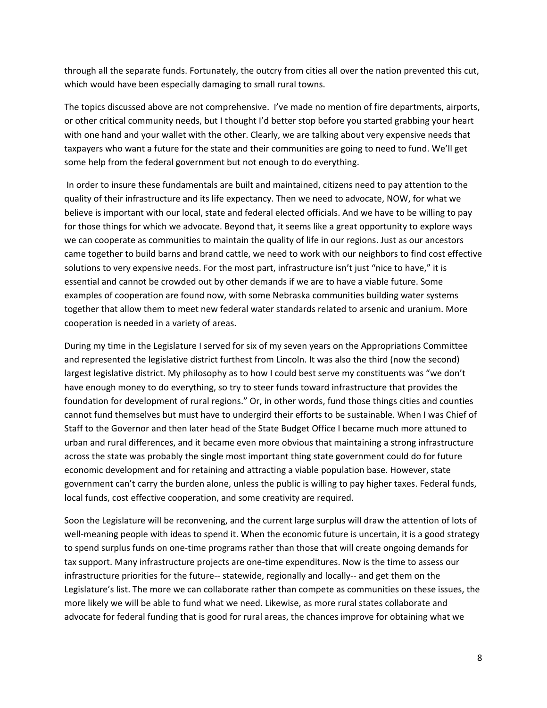through all the separate funds. Fortunately, the outcry from cities all over the nation prevented this cut, which would have been especially damaging to small rural towns.

The topics discussed above are not comprehensive. I've made no mention of fire departments, airports, or other critical community needs, but I thought I'd better stop before you started grabbing your heart with one hand and your wallet with the other. Clearly, we are talking about very expensive needs that taxpayers who want a future for the state and their communities are going to need to fund. We'll get some help from the federal government but not enough to do everything.

In order to insure these fundamentals are built and maintained, citizens need to pay attention to the quality of their infrastructure and its life expectancy. Then we need to advocate, NOW, for what we believe is important with our local, state and federal elected officials. And we have to be willing to pay for those things for which we advocate. Beyond that, it seems like a great opportunity to explore ways we can cooperate as communities to maintain the quality of life in our regions. Just as our ancestors came together to build barns and brand cattle, we need to work with our neighbors to find cost effective solutions to very expensive needs. For the most part, infrastructure isn't just "nice to have," it is essential and cannot be crowded out by other demands if we are to have a viable future. Some examples of cooperation are found now, with some Nebraska communities building water systems together that allow them to meet new federal water standards related to arsenic and uranium. More cooperation is needed in a variety of areas.

During my time in the Legislature I served for six of my seven years on the Appropriations Committee and represented the legislative district furthest from Lincoln. It was also the third (now the second) largest legislative district. My philosophy as to how I could best serve my constituents was "we don't have enough money to do everything, so try to steer funds toward infrastructure that provides the foundation for development of rural regions." Or, in other words, fund those things cities and counties cannot fund themselves but must have to undergird their efforts to be sustainable. When I was Chief of Staff to the Governor and then later head of the State Budget Office I became much more attuned to urban and rural differences, and it became even more obvious that maintaining a strong infrastructure across the state was probably the single most important thing state government could do for future economic development and for retaining and attracting a viable population base. However, state government can't carry the burden alone, unless the public is willing to pay higher taxes. Federal funds, local funds, cost effective cooperation, and some creativity are required.

Soon the Legislature will be reconvening, and the current large surplus will draw the attention of lots of well-meaning people with ideas to spend it. When the economic future is uncertain, it is a good strategy to spend surplus funds on one‐time programs rather than those that will create ongoing demands for tax support. Many infrastructure projects are one‐time expenditures. Now is the time to assess our infrastructure priorities for the future-- statewide, regionally and locally-- and get them on the Legislature's list. The more we can collaborate rather than compete as communities on these issues, the more likely we will be able to fund what we need. Likewise, as more rural states collaborate and advocate for federal funding that is good for rural areas, the chances improve for obtaining what we